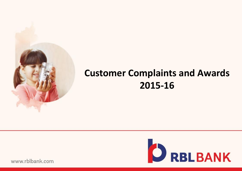

## **Customer Complaints and Awards 2015-16**



www.rblbank.com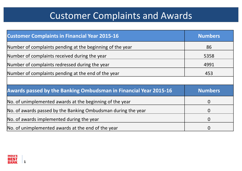# Customer Complaints and Awards

| <b>Customer Complaints in Financial Year 2015-16</b>             | <b>Numbers</b> |
|------------------------------------------------------------------|----------------|
| Number of complaints pending at the beginning of the year        | 86             |
| Number of complaints received during the year                    | 5358           |
| Number of complaints redressed during the year                   | 4991           |
| Number of complaints pending at the end of the year              | 453            |
|                                                                  |                |
| Awards passed by the Banking Ombudsman in Financial Year 2015-16 | <b>Numbers</b> |
| No. of unimplemented awards at the beginning of the year         | $\overline{0}$ |
| No. of awards passed by the Banking Ombudsman during the year    | $\overline{0}$ |
| No. of awards implemented during the year                        | $\overline{0}$ |
|                                                                  |                |



**1**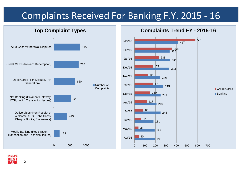### Complaints Received For Banking F.Y. 2015 - 16

#### **Top Complaint Types**



#### **Complaints Trend FY - 2015-16**